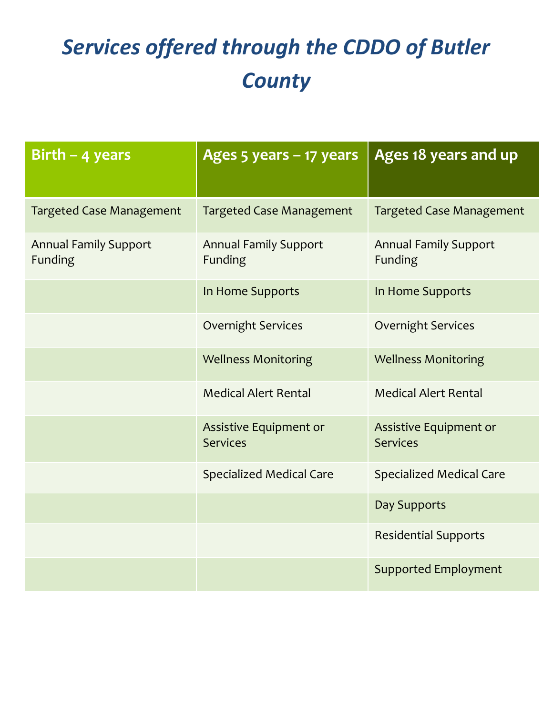# *Services offered through the CDDO of Butler County*

| Birth $-$ 4 years                              | Ages 5 years - 17 years                   | Ages 18 years and up                      |
|------------------------------------------------|-------------------------------------------|-------------------------------------------|
| <b>Targeted Case Management</b>                | <b>Targeted Case Management</b>           | <b>Targeted Case Management</b>           |
| <b>Annual Family Support</b><br><b>Funding</b> | <b>Annual Family Support</b><br>Funding   | <b>Annual Family Support</b><br>Funding   |
|                                                | In Home Supports                          | In Home Supports                          |
|                                                | <b>Overnight Services</b>                 | <b>Overnight Services</b>                 |
|                                                | <b>Wellness Monitoring</b>                | <b>Wellness Monitoring</b>                |
|                                                | <b>Medical Alert Rental</b>               | <b>Medical Alert Rental</b>               |
|                                                | Assistive Equipment or<br><b>Services</b> | Assistive Equipment or<br><b>Services</b> |
|                                                | <b>Specialized Medical Care</b>           | <b>Specialized Medical Care</b>           |
|                                                |                                           | Day Supports                              |
|                                                |                                           | <b>Residential Supports</b>               |
|                                                |                                           | <b>Supported Employment</b>               |